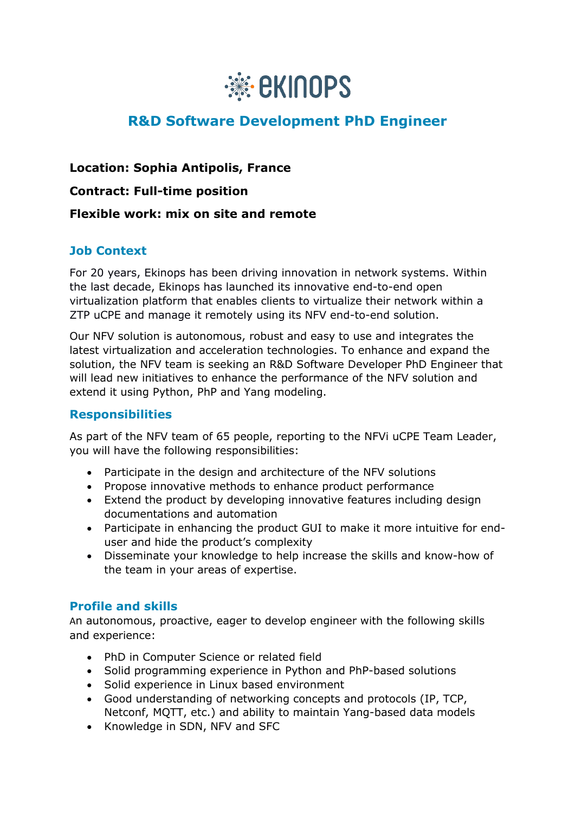

# **R&D Software Development PhD Engineer**

**Location: Sophia Antipolis, France Contract: Full-time position Flexible work: mix on site and remote**

### **Job Context**

For 20 years, Ekinops has been driving innovation in network systems. Within the last decade, Ekinops has launched its innovative end-to-end open virtualization platform that enables clients to virtualize their network within a ZTP uCPE and manage it remotely using its NFV end-to-end solution.

Our NFV solution is autonomous, robust and easy to use and integrates the latest virtualization and acceleration technologies. To enhance and expand the solution, the NFV team is seeking an R&D Software Developer PhD Engineer that will lead new initiatives to enhance the performance of the NFV solution and extend it using Python, PhP and Yang modeling.

#### **Responsibilities**

As part of the NFV team of 65 people, reporting to the NFVi uCPE Team Leader, you will have the following responsibilities:

- Participate in the design and architecture of the NFV solutions
- Propose innovative methods to enhance product performance
- Extend the product by developing innovative features including design documentations and automation
- Participate in enhancing the product GUI to make it more intuitive for enduser and hide the product's complexity
- Disseminate your knowledge to help increase the skills and know-how of the team in your areas of expertise.

#### **Profile and skills**

An autonomous, proactive, eager to develop engineer with the following skills and experience:

- PhD in Computer Science or related field
- Solid programming experience in Python and PhP-based solutions
- Solid experience in Linux based environment
- Good understanding of networking concepts and protocols (IP, TCP, Netconf, MQTT, etc.) and ability to maintain Yang-based data models
- Knowledge in SDN, NFV and SFC